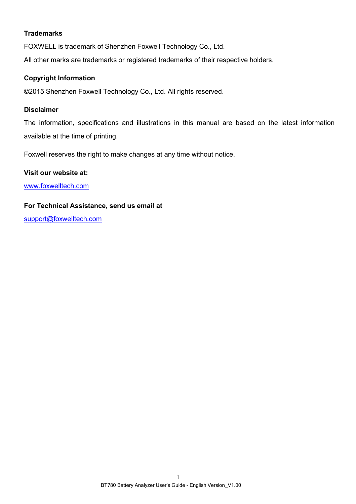### **Trademarks**

FOXWELL is trademark of Shenzhen Foxwell Technology Co., Ltd.

All other marks are trademarks or registered trademarks of their respective holders.

### **Copyright Information**

©2015 Shenzhen Foxwell Technology Co., Ltd. All rights reserved.

#### **Disclaimer**

The information, specifications and illustrations in this manual are based on the latest information available at the time of printing.

Foxwell reserves the right to make changes at any time without notice.

#### **Visit our website at:**

[www.foxwelltech.com](http://www.warensortiment.de/)

#### **For Technical Assistance, send us email at**

[support@foxwelltech.com](mailto:support@foxwelltech.com)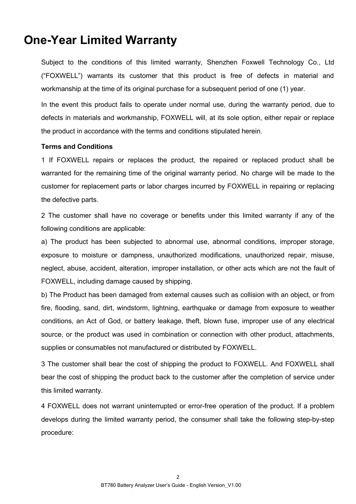# **One-Year Limited Warranty**

Subject to the conditions of this limited warranty, Shenzhen Foxwell Technology Co., Ltd ("FOXWELL") warrants its customer that this product is free of defects in material and workmanship at the time of its original purchase for a subsequent period of one (1) year.

In the event this product fails to operate under normal use, during the warranty period, due to defects in materials and workmanship, FOXWELL will, at its sole option, either repair or replace the product in accordance with the terms and conditions stipulated herein.

#### **Terms and Conditions**

1 If FOXWELL repairs or replaces the product, the repaired or replaced product shall be warranted for the remaining time of the original warranty period. No charge will be made to the customer for replacement parts or labor charges incurred by FOXWELL in repairing or replacing the defective parts.

2 The customer shall have no coverage or benefits under this limited warranty if any of the following conditions are applicable:

a) The product has been subjected to abnormal use, abnormal conditions, improper storage, exposure to moisture or dampness, unauthorized modifications, unauthorized repair, misuse, neglect, abuse, accident, alteration, improper installation, or other acts which are not the fault of FOXWELL, including damage caused by shipping.<br>b) The Product has been damaged from external causes such as collision with an object, or from

fire, flooding, sand, dirt, windstorm, lightning, earthquake or damage from exposure to weather conditions, an Act of God, or battery leakage, theft, blown fuse, improper use of any electrical source, or the product was used in combination or connection with other product, attachments, supplies or consumables not manufactured or distributed by FOXWELL.

3 The customer shall bear the cost of shipping the product to FOXWELL. And FOXWELL shall bear the cost of shipping the product back to the customer after the completion of service under this limited warranty.

4 FOXWELL does not warrant uninterrupted or error-free operation of the product. If a problem develops during the limited warranty period, the consumer shall take the following step-by-step procedure: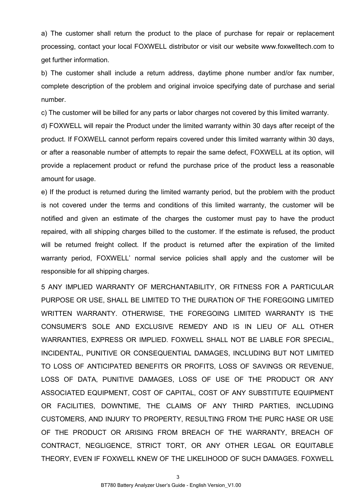a) The customer shall return the product to the place of purchase for repair or replacement processing, contact your local FOXWELL distributor or visit our website www.foxwelltech.com to get further information.

b) The customer shall include a return address, daytime phone number and/or fax number, complete description of the problem and original invoice specifying date of purchase and serial number.

c) The customer will be billed for any parts or labor charges not covered by this limited warranty.

d) FOXWELL will repair the Product under the limited warranty within 30 days after receipt of the product. If FOXWELL cannot perform repairs covered under this limited warranty within 30 days, or after a reasonable number of attempts to repair the same defect, FOXWELL at its option, will provide a replacement product or refund the purchase price of the product less a reasonable amount for usage.

e) If the product is returned during the limited warranty period, but the problem with the product is not covered under the terms and conditions of this limited warranty, the customer will be notified and given an estimate of the charges the customer must pay to have the product repaired, with all shipping charges billed to the customer. If the estimate is refused, the product will be returned freight collect. If the product is returned after the expiration of the limited warranty period, FOXWELL' normal service policies shall apply and the customer will be responsible for all shipping charges.

5 ANY IMPLIED WARRANTY OF MERCHANTABILITY, OR FITNESS FOR A PARTICULAR PURPOSE OR USE, SHALL BE LIMITED TO THE DURATION OF THE FOREGOING LIMITED WRITTEN WARRANTY. OTHERWISE, THE FOREGOING LIMITED WARRANTY IS THE CONSUMER'S SOLE AND EXCLUSIVE REMEDY AND IS IN LIEU OFALL OTHER WARRANTIES, EXPRESS OR IMPLIED. FOXWELL SHALL NOT BE LIABLE FOR SPECIAL, INCIDENTAL, PUNITIVE OR CONSEQUENTIAL DAMAGES, INCLUDING BUT NOT LIMITED TO LOSS OF ANTICIPATED BENEFITS OR PROFITS, LOSS OF SAVINGS OR REVENUE,<br>LOSS OF DATA. PUNITIVE DAMAGES. LOSS OF USE OF THE PRODUCT OR ANY ASSOCIATED EQUIPMENT, COST OF CAPITAL, COST OF ANY SUBSTITUTE EQUIPMENT OR FACILITIES, DOWNTIME, THE CLAIMS OF ANY THIRD PARTIES, INCLUDING CUSTOMERS, AND INJURY TO PROPERTY, RESULTING FROM THE PURC HASE OR USE OF THE PRODUCT OR ARISING FROM BREACH OF THE WARRANTY, BREACH OF CONTRACT, NEGLIGENCE, STRICT TORT, OR ANY OTHER LEGAL OR EQUITABLE THEORY, EVEN IF FOXWELL KNEW OF THE LIKELIHOOD OF SUCH DAMAGES. FOXWELL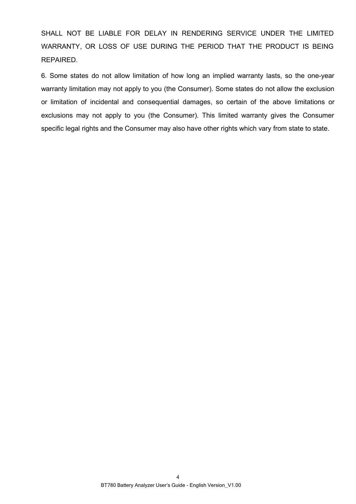SHALL NOT BE LIABLE FOR DELAY IN RENDERING SERVICE UNDER THE LIMITED WARRANTY, OR LOSS OF USE DURING THE PERIOD THAT THE PRODUCT IS BEING REPAIRED.

6. Some states do not allow limitation of how long an implied warranty lasts, so the one-year warranty limitation may not apply to you (the Consumer). Some states do not allow the exclusion or limitation of incidental and consequential damages, so certain of the above limitations or exclusions may not apply to you (the Consumer). This limited warranty gives the Consumer specific legal rights and the Consumer may also have other rights which vary from state to state.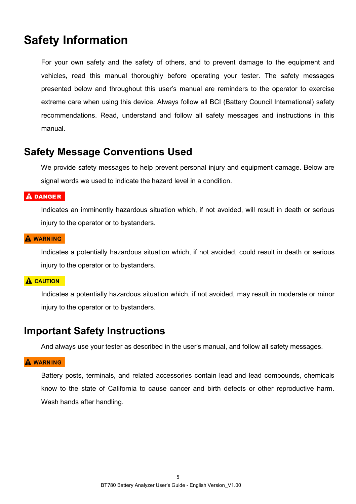# **Safety Information**

For your own safety and the safety of others, and to prevent damage to the equipment and vehicles, read this manual thoroughly before operating your tester. The safety messages presented below and throughout this user's manual are reminders to the operator to exercise extreme care when using this device. Always follow all BCI (Battery Council International) safety recommendations. Read, understand and follow all safety messages and instructions in this manual.

### **Safety Message Conventions Used**

We provide safety messages to help prevent personal injury and equipment damage. Below are signal words we used to indicate the hazard level in a condition.

### $A$  DANGER

Indicates an imminently hazardous situation which, if not avoided, will result in death or serious injury to the operator or to bystanders.

### **A WARNING**

Indicates a potentially hazardous situation which, if not avoided, could result in death or serious injury to the operator or to bystanders.

### **A CAUTION**

Indicates a potentially hazardous situation which, if not avoided, may result in moderate or minor injury to the operator or to bystanders.

### **Important Safety Instructions**

And always use your tester as described in the user's manual, and follow all safety messages.

### **A WARNING**

Battery posts, terminals, and related accessories contain lead and lead compounds, chemicals know to the state of California to cause cancer and birth defects or other reproductive harm. Wash hands after handling.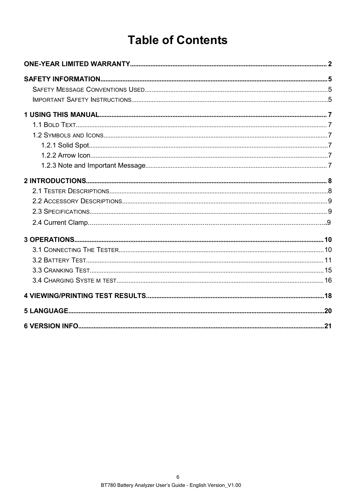# **Table of Contents**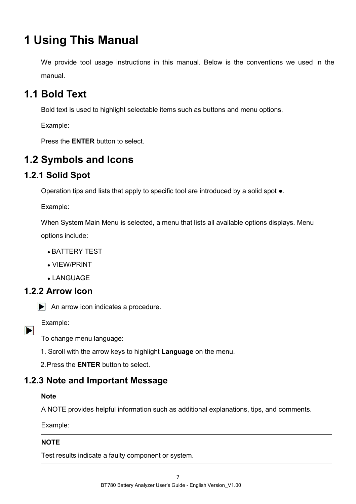# **1 Using This Manual**

We provide tool usage instructions in this manual. Below is the conventions we used in the manual.

# **1.1 Bold Text**

Bold text is used to highlight selectable items such as buttons and menu options.

Example:

Press the **ENTER** button to select.

# **1.2 Symbols and Icons**

### **1.2.1 Solid Spot**

Operation tips and lists that apply to specific tool are introduced by a solid spot ●.

Example:

When System Main Menu is selected, a menu that lists all available options displays. Menu options include:

- BATTERY TEST
- VIEW/PRINT
- LANGUAGE

### **1.2.2 Arrow Icon**



Example:

 $\blacktriangleright$ 

To change menu language:

1. Scroll with the arrow keys to highlight **Language** on the menu.

2.Press the **ENTER** button to select.

### **1.2.3 Note and Important Message**

### **Note**

A NOTE provides helpful information such as additional explanations, tips, and comments.

Example:

### **NOTE**

Test results indicate a faulty component or system.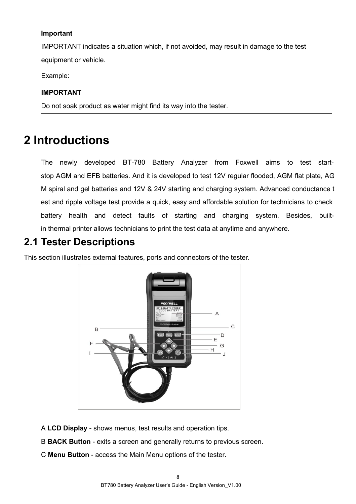#### **Important**

IMPORTANT indicates a situation which, if not avoided, may result in damage to the test equipment or vehicle.

Example:

#### **IMPORTANT**

Do not soak product as water might find its way into the tester.

# **2 Introductions**

The newly developed BT-780 Battery Analyzer from Foxwell aims to test start stop AGM and EFB batteries. And it is developed to test 12V regular flooded, AGM flat plate, AG M spiral and gel batteries and 12V & 24V starting and charging system. Advanced conductance t est and ripple voltage test provide a quick, easy and affordable solution for technicians to check battery health and detect faults of starting and charging system. Besides, builtin thermal printer allows technicians to print the test data at anytime and anywhere.

### **2.1 Tester Descriptions**

This section illustrates external features, ports and connectors of the tester.



- A **LCD Display** shows menus, test results and operation tips.
- B **BACK Button** exits a screen and generally returns to previous screen.
- C **Menu Button** access the Main Menu options of the tester.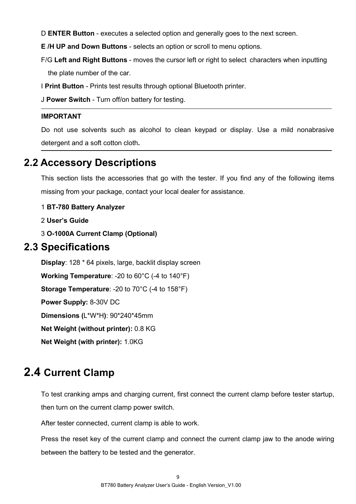D **ENTER Button** - executes a selected option and generally goes to the next screen.

**E /H UP and Down Buttons** - selects an option orscroll to menu options.

F/G **Left and Right Buttons** - moves the cursor left or right to select characters when inputting

the plate number of the car.

I **Print Button** - Prints test results through optional Bluetooth printer.

J **Power Switch** - Turn off/on battery for testing.

#### **IMPORTANT**

Do not use solvents such as alcohol to clean keypad or display. Use a mild nonabrasive detergent and a soft cotton cloth**.**

### **2.2 Accessory Descriptions**

This section lists the accessories that go with the tester. If you find any of the following items missing from your package, contact your local dealer for assistance.

### 1 **BT-780 Battery Analyzer**

2 **User's Guide**

3 **O-1000A Current Clamp (Optional)**

### **2.3 Specifications**

**Display**: 128 \* 64 pixels, large, backlit display screen **Working Temperature**: -20 to 60°C (-4 to 140°F) **Storage Temperature**: -20 to 70°C (-4 to 158°F) **Power Supply:** 8-30V DC **Dimensions (**L\*W\*H**)**: 90\*240\*45mm **Net Weight (without printer):** 0.8 KG **Net Weight (with printer):** 1.0KG

# **2.4 Current Clamp**

To test cranking amps and charging current, first connect the current clamp before tester startup, then turn on the current clamp power switch.

After tester connected, current clamp is able to work.

Press the reset key of the current clamp and connect the current clamp jaw to the anode wiring between the battery to be tested and the generator.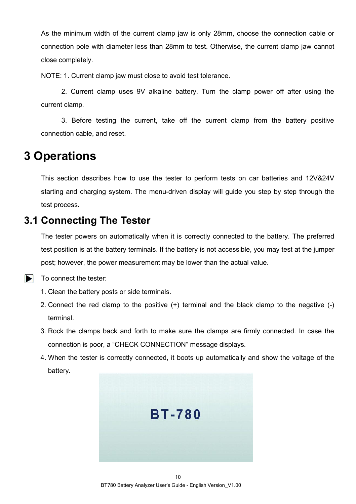As the minimum width of the current clamp jaw is only 28mm, choose the connection cable or connection pole with diameter less than 28mm to test. Otherwise, the current clamp jaw cannot close completely.<br>NOTE: 1. Current clamp jaw must close to avoid test tolerance.

2. Current clamp uses 9V alkaline battery. Turn the clamp power off after using the current clamp.

3. Before testing the current, take off the current clamp from the battery positive connection cable, and reset.

# **3 Operations**

This section describes how to use the tester to perform tests on car batteries and 12V&24V starting and charging system. The menu-driven display will guide you step by step through the test process.

### **3.1 Connecting The Tester**

The tester powers on automatically when it is correctly connected to the battery. The preferred test position is at the battery terminals. If the battery is not accessible, you may test at the jumper post; however, the power measurement may be lower than the actual value.

#### $\blacksquare$ To connect the tester:

- 1. Clean the battery posts or side terminals.
- 2. Connect the red clamp to the positive (+) terminal and the black clamp to the negative (-) terminal.
- 3. Rock the clamps back and forth to make sure the clamps are firmly connected. In case the connection is poor, a "CHECK CONNECTION" message displays.
- 4. When the tester is correctly connected, it boots up automatically and show the voltage of the battery.

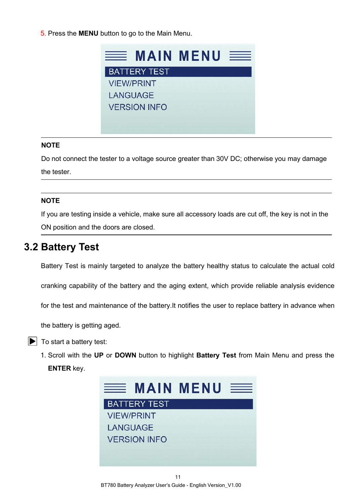5. Press the **MENU** button to go to the Main Menu.



#### **NOTE**

Do not connect the tester to a voltage source greater than 30V DC; otherwise you may damage the tester.

#### **NOTE**

If you are testing inside a vehicle, make sure all accessory loads are cut off, the key is not in the ON position and the doors are closed.

### **3.2 Battery Test**

Battery Test is mainly targeted to analyze the battery healthy status to calculate the actual cold

cranking capability of the battery and the aging extent, which provide reliable analysis evidence

for the test and maintenance of the battery.It notifies the user to replace battery in advance when

the battery is getting aged.

- $\blacktriangleright$  To start a battery test:
	- 1. Scroll with the **UP** or **DOWN** buttonto highlight**Battery Test** from Main Menu and press the **ENTER** key.

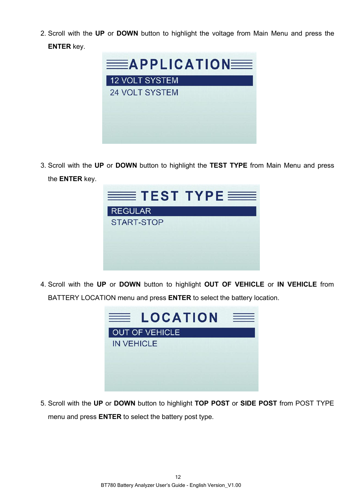2. Scroll with the **UP** or **DOWN** buttonto highlight the voltage from Main Menu and press the **ENTER** key.



3. Scroll with the UP or DOWN button to highlight the TEST TYPE from Main Menu and press the **ENTER** key.

| $\equiv$ TEST TYPE $\equiv$ |  |
|-----------------------------|--|
| <b>REGULAR</b>              |  |
| <b>START-STOP</b>           |  |
|                             |  |

4. Scroll with the **UP** or **DOWN** buttonto highlight **OUT OF VEHICLE** or **IN VEHICLE** from BATTERY LOCATION menu and press **ENTER** to select the battery location.



5. Scroll with the **UP** or **DOWN** buttonto highlight **TOP POST** or **SIDE POST** from POST TYPE menu and press **ENTER** to select the battery post type.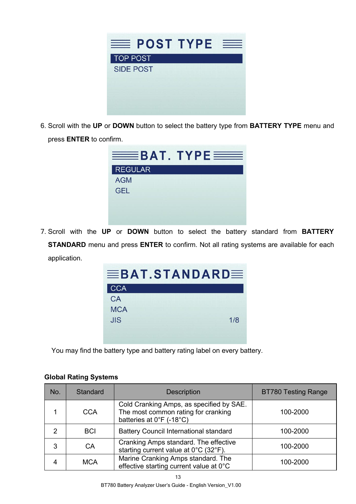

6. Scroll with the **UP** or **DOWN** button to select the battery type from **BATTERY TYPE** menu and press **ENTER** to confirm.

| $\equiv$ BAT. TYPE $\equiv$ |  |
|-----------------------------|--|
| <b>REGULAR</b>              |  |
| <b>AGM</b>                  |  |
| <b>GEL</b>                  |  |
|                             |  |
|                             |  |
|                             |  |

7. Scroll with the **UP** or **DOWN** button to selectthe battery standard from **BATTERY STANDARD** menu and press **ENTER** to confirm. Not all rating systems are available for each application.

| $\equiv$ BAT.STANDARD $\equiv$ |     |  |
|--------------------------------|-----|--|
| <b>CCA</b>                     |     |  |
| CA                             |     |  |
| <b>MCA</b>                     |     |  |
| JIS                            | 1/8 |  |
|                                |     |  |
|                                |     |  |

You may find the battery type and battery rating label on every battery.

| <b>Global Rating Systems</b> |  |
|------------------------------|--|
|------------------------------|--|

| No. | Standard   | Description                                                                                                 | <b>BT780 Testing Range</b> |  |
|-----|------------|-------------------------------------------------------------------------------------------------------------|----------------------------|--|
|     | <b>CCA</b> | Cold Cranking Amps, as specified by SAE.<br>The most common rating for cranking<br>batteries at 0°F (-18°C) | 100-2000                   |  |
|     | <b>BCI</b> | Battery Council International standard                                                                      | 100-2000                   |  |
| 3   | CA         | Cranking Amps standard. The effective<br>starting current value at 0°C (32°F).                              | 100-2000                   |  |
| 4   | <b>MCA</b> | Marine Cranking Amps standard. The<br>effective starting current value at 0°C                               | 100-2000                   |  |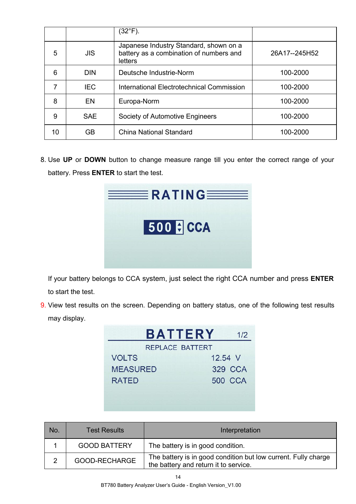|    |            | $(32^{\circ}F)$ .                                                                            |               |
|----|------------|----------------------------------------------------------------------------------------------|---------------|
| 5  | JIS        | Japanese Industry Standard, shown on a<br>battery as a combination of numbers and<br>letters | 26A17--245H52 |
| 6  | <b>DIN</b> | Deutsche Industrie-Norm                                                                      | 100-2000      |
| 7  | IEC.       | International Electrotechnical Commission                                                    | 100-2000      |
| 8  | EN         | Europa-Norm                                                                                  | 100-2000      |
| 9  | <b>SAE</b> | Society of Automotive Engineers                                                              | 100-2000      |
| 10 | GB.        | China National Standard                                                                      | 100-2000      |

8. Use UP or DOWN button to change measure range till you enter the correct range of your battery. Press **ENTER** to start the test.

| $\equiv$ RATING |  |
|-----------------|--|
| 500 F CCA       |  |
|                 |  |

If your battery belongs to CCA system, just select the right CCA number and press **ENTER** to start the test.

9. View test results on the screen. Depending on battery status, one of the following test results may display.

| <b>BATTERY</b>         | 1/2            |
|------------------------|----------------|
| <b>REPLACE BATTERT</b> |                |
| <b>VOLTS</b>           | 12.54 V        |
| <b>MEASURED</b>        | 329 CCA        |
| <b>RATED</b>           | <b>500 CCA</b> |
|                        |                |
|                        |                |

| No. | <b>Test Results</b> | Interpretation                                                                                          |
|-----|---------------------|---------------------------------------------------------------------------------------------------------|
|     | <b>GOOD BATTERY</b> | The battery is in good condition.                                                                       |
|     | GOOD-RECHARGE       | The battery is in good condition but low current. Fully charge<br>the battery and return it to service. |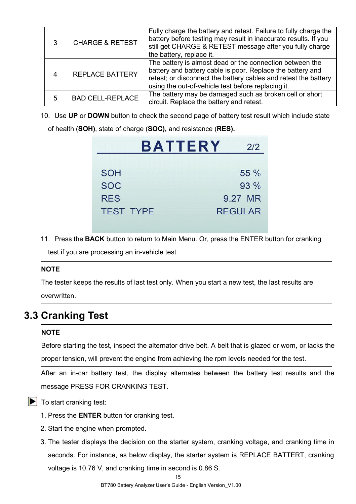| 3 | <b>CHARGE &amp; RETEST</b> | Fully charge the battery and retest. Failure to fully charge the<br>battery before testing may result in inaccurate results. If you<br>still get CHARGE & RETEST message after you fully charge<br>the battery, replace it.                     |
|---|----------------------------|-------------------------------------------------------------------------------------------------------------------------------------------------------------------------------------------------------------------------------------------------|
| 4 | <b>REPLACE BATTERY</b>     | The battery is almost dead or the connection between the<br>battery and battery cable is poor. Replace the battery and<br>retest; or disconnect the battery cables and retest the battery<br>using the out-of-vehicle test before replacing it. |
| 5 | <b>BAD CELL-REPLACE</b>    | The battery may be damaged such as broken cell or short<br>circuit. Replace the battery and retest.                                                                                                                                             |

10. Use **UP** or **DOWN** button to check the second page of battery test result which include state of health (**SOH)**, state of charge (**SOC),** and resistance (**RES).**

| <b>RATTERY</b> |  |  |  |
|----------------|--|--|--|
|                |  |  |  |
|                |  |  |  |
|                |  |  |  |

|                  | BAILERY |                | 212  |
|------------------|---------|----------------|------|
|                  |         |                |      |
| <b>SOH</b>       |         |                | 55 % |
| <b>SOC</b>       |         |                | 93 % |
| <b>RES</b>       |         | 9.27 MR        |      |
| <b>TEST TYPE</b> |         | <b>REGULAR</b> |      |
|                  |         |                |      |

11. Press the **BACK** button to return to Main Menu. Or, press the ENTER button for cranking

test if you are processing an in-vehicle test.

#### **NOTE**

The tester keeps the results of last test only. When you start a new test, the last results are overwritten.

### **3.3 Cranking Test**

#### **NOTE**

Before starting the test, inspect the alternator drive belt. A belt that is glazed or worn, or lacks the proper tension, will prevent the engine from achieving the rpm levels needed for the test.<br>
After an in-car battery test, the display alternates between the battery test results and the

message PRESS FOR CRANKING TEST.

 $\blacktriangleright$  To start cranking test:

- 1. Press the **ENTER** button for cranking test.
- 2. Start the engine when prompted.
- 3. The tester displays the decision on the starter system, cranking voltage, and cranking time in seconds. For instance, as below display, the starter system is REPLACE BATTERT, cranking voltage is 10.76 V, and cranking time in second is 0.86 S.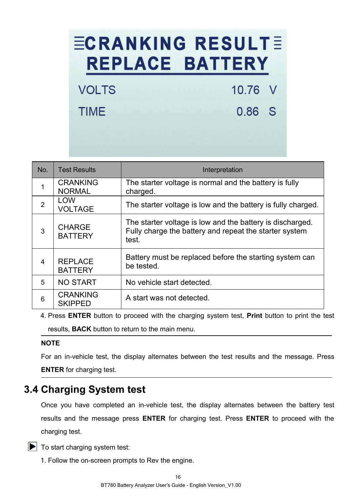# **ECRANKING RESULTE REPLACE BATTERY**

10.76 V

0.86 S

VOLTS

**TIMF** 

No. Test Results Interpretation  $\begin{array}{c|c} 1 & \text{CRANKING} & \text{The starter voltage is normal and the battery is fully} \end{array}$ NORMAL charged. 2  $\vert$  LOW  $\vert$  The starter voltage is low and the battery is fully charged. VOLTAGE  $\begin{array}{c|c}\n 3 & \text{CHARGE} \\
 \hline\n 5 & \text{PATTFDV}\n\end{array}$  Fully charge the battery and repeat the starter system **BATTERY** The starter voltage is low and the battery is discharged. test. 4 RFPLACE **BATTERY** Battery must be replaced before the starting system can be tested. 5 NO START No vehicle start detected.  $6 \mid \text{CRANKING} \mid$  A start was not detected. SKIPPED

4. Press **ENTER** button to proceed with the charging system test, **Print** button to print the test results, **BACK** button to return to the main menu.

### **NOTE**

For an in-vehicle test, the display alternates between the test results and the message. Press **ENTER** for charging test.

### **3.4 Charging System test**

Once you have completed an in-vehicle test, the display alternates between the battery test results and the message press **ENTER** for charging test. Press **ENTER** to proceed with the charging test.

 $\blacktriangleright$  To start charging system test:

1. Follow the on-screen prompts to Rev the engine.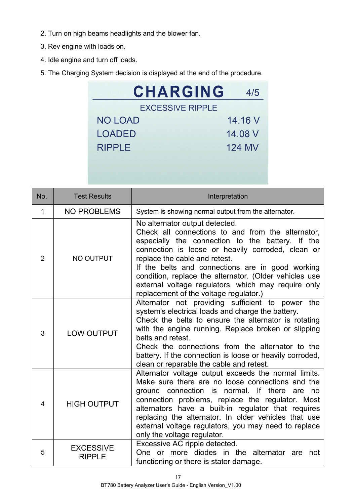- 2. Turn on high beams headlights and the blower fan.
- 3. Rev engine with loads on.
- 4. Idle engine and turn off loads.
- 5. The Charging System decision is displayed at the end of the procedure.

| <b>CHARGING</b>         | 4/5           |
|-------------------------|---------------|
| <b>EXCESSIVE RIPPLE</b> |               |
| <b>NO LOAD</b>          | 14.16 V       |
| <b>LOADED</b>           | 14.08 V       |
| <b>RIPPLE</b>           | <b>124 MV</b> |
|                         |               |

| No. | <b>Test Results</b>               | Interpretation                                                                                                                                                                                                                                                                                                                                                                                                                               |
|-----|-----------------------------------|----------------------------------------------------------------------------------------------------------------------------------------------------------------------------------------------------------------------------------------------------------------------------------------------------------------------------------------------------------------------------------------------------------------------------------------------|
| 1   | NO PROBLEMS                       | System is showing normal output from the alternator.                                                                                                                                                                                                                                                                                                                                                                                         |
| 2   | NO OUTPUT                         | No alternator output detected.<br>Check all connections to and from the alternator,<br>especially the connection to the battery. If the<br>connection is loose or heavily corroded, clean or<br>replace the cable and retest.<br>If the belts and connections are in good working<br>condition, replace the alternator. (Older vehicles use<br>external voltage regulators, which may require only<br>replacement of the voltage regulator.) |
| 3   | <b>LOW OUTPUT</b>                 | Alternator not providing sufficient to power the<br>system's electrical loads and charge the battery.<br>Check the belts to ensure the alternator is rotating<br>with the engine running. Replace broken or slipping<br>belts and retest.<br>Check the connections from the alternator to the<br>battery. If the connection is loose or heavily corroded,<br>clean or reparable the cable and retest.                                        |
| 4   | <b>HIGH OUTPUT</b>                | Alternator voltage output exceeds the normal limits.<br>Make sure there are no loose connections and the<br>ground connection is normal. If there are no<br>connection problems, replace the regulator. Most<br>alternators have a built-in regulator that requires<br>replacing the alternator. In older vehicles that use<br>external voltage regulators, you may need to replace<br>only the voltage regulator.                           |
| 5   | <b>EXCESSIVE</b><br><b>RIPPLE</b> | Excessive AC ripple detected.<br>One or more diodes in the alternator are not<br>functioning or there is stator damage.                                                                                                                                                                                                                                                                                                                      |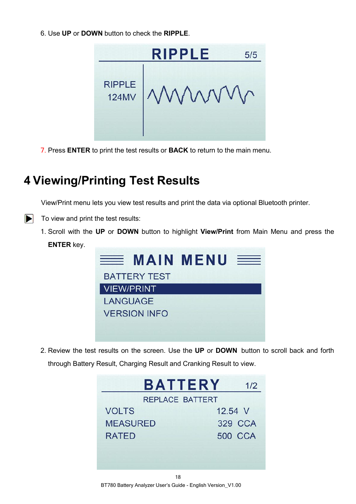6. Use **UP** or **DOWN** button to check the **RIPPLE**.



7. Press **ENTER** to print the test results or **BACK** to return to the main menu.

# **4 Viewing/Printing Test Results**

View/Print menu lets you view test results and print the data via optional Bluetooth printer.

- $\triangleright$  To view and print the test results:
	- 1. Scroll with the **UP** or **DOWN** button to highlight**View/Print** from Main Menu and press the **ENTER** key.



2. Review the test results on the screen. Use the **UP** or **DOWN** button to scroll back and forth through Battery Result, Charging Result and Cranking Result to view.

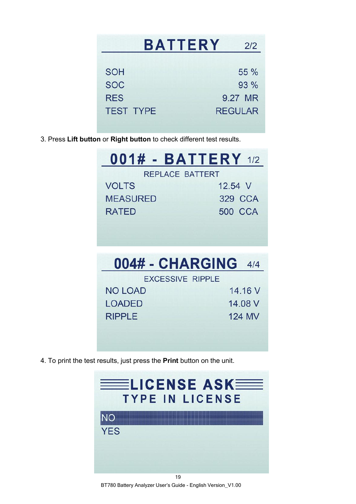| <b>BATTERY</b>   | 212            |
|------------------|----------------|
| <b>SOH</b>       | 55 %           |
| <b>SOC</b>       | 93 %           |
| <b>RES</b>       | 9.27 MR        |
| <b>TEST TYPE</b> | <b>REGULAR</b> |

3. Press **Lift button** or **Right button** to check different test results.

| <b>001# - BATTERY 1/2</b> |                |  |  |
|---------------------------|----------------|--|--|
| REPLACE BATTERT           |                |  |  |
| <b>VOLTS</b>              | 12.54 V        |  |  |
| <b>MEASURED</b>           | 329 CCA        |  |  |
| <b>RATED</b>              | <b>500 CCA</b> |  |  |
|                           |                |  |  |

|  | 004# - CHARGING 4/4 |  |  |
|--|---------------------|--|--|
|  | EVOECON E DIDDLE    |  |  |

| LAULUUIVE IVILLE |         |
|------------------|---------|
| NO LOAD          | 14.16 V |
| LOADED           | 14.08 V |
| <b>RIPPLE</b>    | 124 MV  |
|                  |         |

4. To print the test results, just press the **Print** button on the unit.



BT780 Battery Analyzer User's Guide - English Version\_V1.00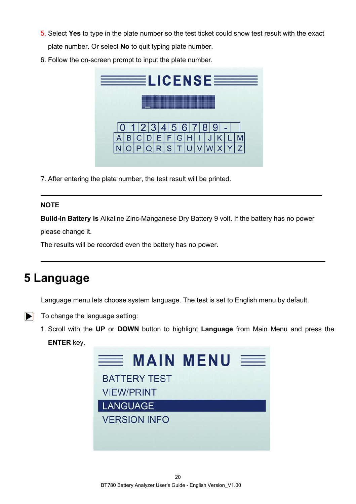- 5. Select **Yes** to type in the plate number so the test ticket could show test result with the exact plate number. Or select **No** to quit typing plate number.
- 6. Follow the on-screen prompt to input the plate number.



7. After entering the plate number, the test result will be printed.

### **NOTE**

**Build-in Battery is** Alkaline Zinc-Manganese Dry Battery 9 volt. If the battery has no power

please change it.

The results will be recorded even the battery has no power.

# **5 Language**

Language menu lets choose system language. The test is set to English menu by default.

- $\blacktriangleright$  To change the language setting:
	- 1. Scroll with the **UP** or **DOWN** buttonto highlight **Language** from Main Menu and press the **ENTER** key.